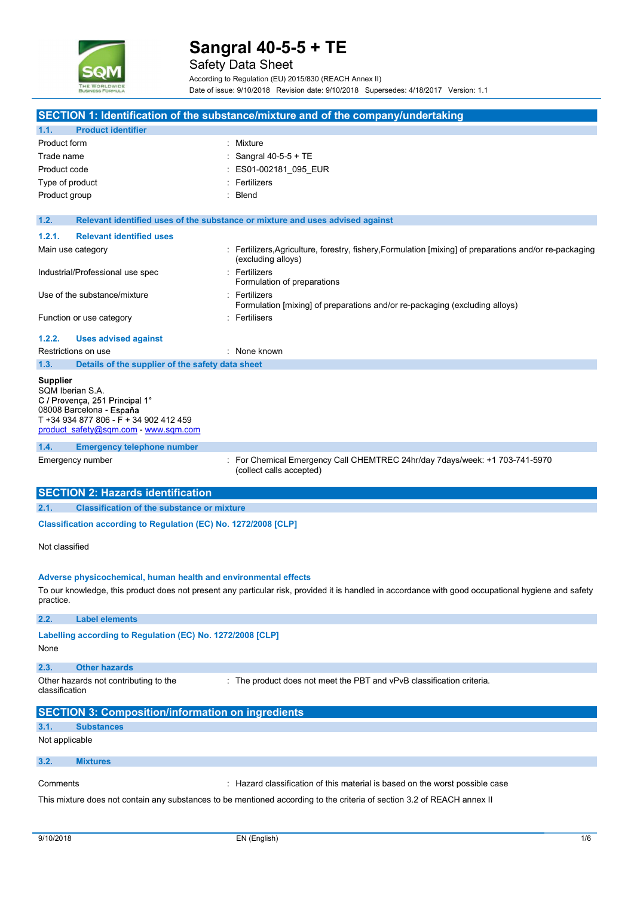

|                                                                                                                                                                                     | Sangral 40-5-5 + TE<br><b>Safety Data Sheet</b>                                                                                                                                                                        |
|-------------------------------------------------------------------------------------------------------------------------------------------------------------------------------------|------------------------------------------------------------------------------------------------------------------------------------------------------------------------------------------------------------------------|
| <b><i>THE WORLDWIDE</i></b>                                                                                                                                                         | According to Regulation (EU) 2015/830 (REACH Annex II)                                                                                                                                                                 |
|                                                                                                                                                                                     | Date of issue: 9/10/2018 Revision date: 9/10/2018 Supersedes: 4/18/2017 Version: 1.1                                                                                                                                   |
|                                                                                                                                                                                     | SECTION 1: Identification of the substance/mixture and of the company/undertaking                                                                                                                                      |
| <b>Product identifier</b><br>1.1.                                                                                                                                                   |                                                                                                                                                                                                                        |
| Product form                                                                                                                                                                        | : Mixture                                                                                                                                                                                                              |
| Trade name                                                                                                                                                                          | Sangral 40-5-5 + TE                                                                                                                                                                                                    |
| Product code<br>Type of product                                                                                                                                                     | ES01-002181 095 EUR<br>: Fertilizers                                                                                                                                                                                   |
| Product group                                                                                                                                                                       | Blend                                                                                                                                                                                                                  |
|                                                                                                                                                                                     |                                                                                                                                                                                                                        |
| 1.2.                                                                                                                                                                                | Relevant identified uses of the substance or mixture and uses advised against                                                                                                                                          |
| <b>Relevant identified uses</b><br>1.2.1.                                                                                                                                           |                                                                                                                                                                                                                        |
| Main use category                                                                                                                                                                   | : Fertilizers, Agriculture, forestry, fishery, Formulation [mixing] of preparations and/or re-packaging<br>(excluding alloys)                                                                                          |
| Industrial/Professional use spec                                                                                                                                                    | : Fertilizers<br>Formulation of preparations                                                                                                                                                                           |
| Use of the substance/mixture                                                                                                                                                        | : Fertilizers<br>Formulation [mixing] of preparations and/or re-packaging (excluding alloys)                                                                                                                           |
| Function or use category                                                                                                                                                            | : Fertilisers                                                                                                                                                                                                          |
| 1.2.2.<br><b>Uses advised against</b>                                                                                                                                               |                                                                                                                                                                                                                        |
| Restrictions on use                                                                                                                                                                 | : None known                                                                                                                                                                                                           |
| Details of the supplier of the safety data sheet<br>1.3.                                                                                                                            |                                                                                                                                                                                                                        |
| <b>Supplier</b><br>SQM Iberian S.A.<br>C / Provença, 251 Principal 1°<br>08008 Barcelona - España<br>T +34 934 877 806 - F + 34 902 412 459<br>product safety@sqm.com - www.sqm.com |                                                                                                                                                                                                                        |
| <b>Emergency telephone number</b><br>1.4.                                                                                                                                           |                                                                                                                                                                                                                        |
| Emergency number                                                                                                                                                                    | : For Chemical Emergency Call CHEMTREC 24hr/day 7days/week: +1 703-741-5970<br>(collect calls accepted)                                                                                                                |
| <b>SECTION 2: Hazards identification</b>                                                                                                                                            |                                                                                                                                                                                                                        |
| <b>Classification of the substance or mixture</b><br>2.1.                                                                                                                           |                                                                                                                                                                                                                        |
| Classification according to Regulation (EC) No. 1272/2008 [CLP]                                                                                                                     |                                                                                                                                                                                                                        |
| Not classified                                                                                                                                                                      |                                                                                                                                                                                                                        |
| practice.                                                                                                                                                                           | Adverse physicochemical, human health and environmental effects<br>To our knowledge, this product does not present any particular risk, provided it is handled in accordance with good occupational hygiene and safety |
| 2.2.<br><b>Label elements</b>                                                                                                                                                       |                                                                                                                                                                                                                        |
| Labelling according to Regulation (EC) No. 1272/2008 [CLP]<br>None                                                                                                                  |                                                                                                                                                                                                                        |
| <b>Other hazards</b><br>2.3.<br>Other hazards not contributing to the<br>classification                                                                                             | : The product does not meet the PBT and vPvB classification criteria.                                                                                                                                                  |
| <b>SECTION 3: Composition/information on ingredients</b>                                                                                                                            |                                                                                                                                                                                                                        |
| <b>Substances</b><br>3.1.<br>Not applicable                                                                                                                                         |                                                                                                                                                                                                                        |
| 3.2.<br><b>Mixtures</b>                                                                                                                                                             |                                                                                                                                                                                                                        |
|                                                                                                                                                                                     |                                                                                                                                                                                                                        |
| Comments                                                                                                                                                                            | : Hazard classification of this material is based on the worst possible case                                                                                                                                           |
|                                                                                                                                                                                     | This mixture does not contain any substances to be mentioned according to the criteria of section 3.2 of REACH annex II                                                                                                |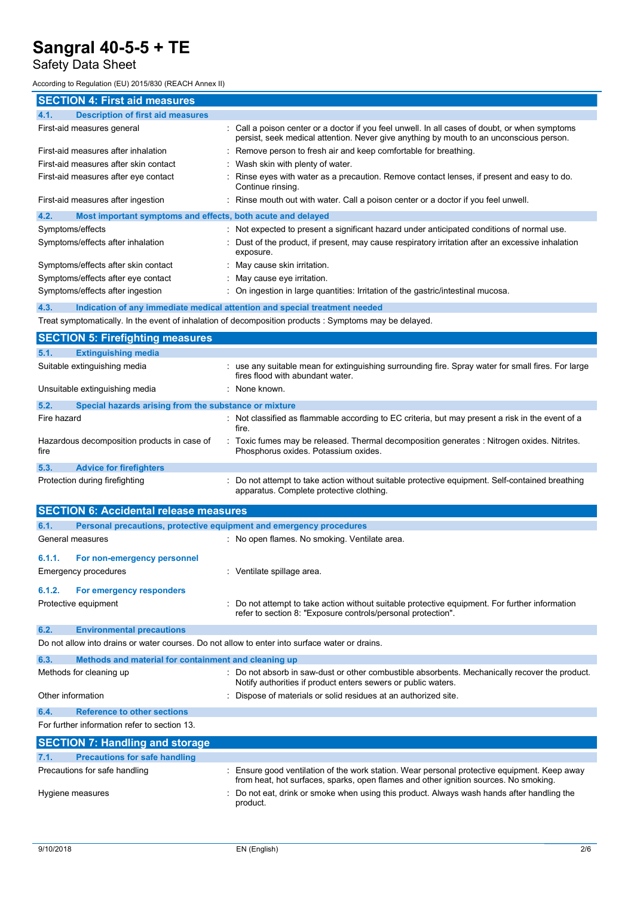## Safety Data Sheet

According to Regulation (EU) 2015/830 (REACH Annex II)

| <b>SECTION 4: First aid measures</b>                                                           |                                                                                                                                                                                           |  |  |  |  |
|------------------------------------------------------------------------------------------------|-------------------------------------------------------------------------------------------------------------------------------------------------------------------------------------------|--|--|--|--|
| <b>Description of first aid measures</b><br>4.1.                                               |                                                                                                                                                                                           |  |  |  |  |
| First-aid measures general                                                                     | : Call a poison center or a doctor if you feel unwell. In all cases of doubt, or when symptoms<br>persist, seek medical attention. Never give anything by mouth to an unconscious person. |  |  |  |  |
| First-aid measures after inhalation                                                            | : Remove person to fresh air and keep comfortable for breathing.                                                                                                                          |  |  |  |  |
| First-aid measures after skin contact                                                          | Wash skin with plenty of water.                                                                                                                                                           |  |  |  |  |
| First-aid measures after eye contact                                                           | Rinse eyes with water as a precaution. Remove contact lenses, if present and easy to do.<br>Continue rinsing.                                                                             |  |  |  |  |
| First-aid measures after ingestion                                                             | : Rinse mouth out with water. Call a poison center or a doctor if you feel unwell.                                                                                                        |  |  |  |  |
| 4.2.<br>Most important symptoms and effects, both acute and delayed                            |                                                                                                                                                                                           |  |  |  |  |
| Symptoms/effects                                                                               | : Not expected to present a significant hazard under anticipated conditions of normal use.                                                                                                |  |  |  |  |
| Symptoms/effects after inhalation                                                              | : Dust of the product, if present, may cause respiratory irritation after an excessive inhalation<br>exposure.                                                                            |  |  |  |  |
| Symptoms/effects after skin contact                                                            | May cause skin irritation.                                                                                                                                                                |  |  |  |  |
| Symptoms/effects after eye contact                                                             | : May cause eye irritation.                                                                                                                                                               |  |  |  |  |
| Symptoms/effects after ingestion                                                               | : On ingestion in large quantities: Irritation of the gastric/intestinal mucosa.                                                                                                          |  |  |  |  |
| 4.3.                                                                                           | Indication of any immediate medical attention and special treatment needed                                                                                                                |  |  |  |  |
|                                                                                                | Treat symptomatically. In the event of inhalation of decomposition products : Symptoms may be delayed.                                                                                    |  |  |  |  |
| <b>SECTION 5: Firefighting measures</b>                                                        |                                                                                                                                                                                           |  |  |  |  |
| <b>Extinguishing media</b><br>5.1.                                                             |                                                                                                                                                                                           |  |  |  |  |
| Suitable extinguishing media                                                                   | : use any suitable mean for extinguishing surrounding fire. Spray water for small fires. For large<br>fires flood with abundant water.                                                    |  |  |  |  |
| Unsuitable extinguishing media                                                                 | : None known.                                                                                                                                                                             |  |  |  |  |
| 5.2.<br>Special hazards arising from the substance or mixture                                  |                                                                                                                                                                                           |  |  |  |  |
| Fire hazard                                                                                    | : Not classified as flammable according to EC criteria, but may present a risk in the event of a<br>fire.                                                                                 |  |  |  |  |
| Hazardous decomposition products in case of<br>fire                                            | Toxic fumes may be released. Thermal decomposition generates : Nitrogen oxides. Nitrites.<br>Phosphorus oxides. Potassium oxides.                                                         |  |  |  |  |
| 5.3.<br><b>Advice for firefighters</b>                                                         |                                                                                                                                                                                           |  |  |  |  |
| Protection during firefighting                                                                 | : Do not attempt to take action without suitable protective equipment. Self-contained breathing<br>apparatus. Complete protective clothing.                                               |  |  |  |  |
| <b>SECTION 6: Accidental release measures</b>                                                  |                                                                                                                                                                                           |  |  |  |  |
| 6.1.                                                                                           | Personal precautions, protective equipment and emergency procedures                                                                                                                       |  |  |  |  |
| General measures                                                                               | : No open flames. No smoking. Ventilate area.                                                                                                                                             |  |  |  |  |
| 6.1.1.<br>For non-emergency personnel                                                          |                                                                                                                                                                                           |  |  |  |  |
| <b>Emergency procedures</b>                                                                    | : Ventilate spillage area.                                                                                                                                                                |  |  |  |  |
| 6.1.2.<br>For emergency responders                                                             |                                                                                                                                                                                           |  |  |  |  |
| Protective equipment                                                                           | Do not attempt to take action without suitable protective equipment. For further information<br>refer to section 8: "Exposure controls/personal protection".                              |  |  |  |  |
| <b>Environmental precautions</b><br>6.2.                                                       |                                                                                                                                                                                           |  |  |  |  |
| Do not allow into drains or water courses. Do not allow to enter into surface water or drains. |                                                                                                                                                                                           |  |  |  |  |
| 6.3.<br>Methods and material for containment and cleaning up                                   |                                                                                                                                                                                           |  |  |  |  |
| Methods for cleaning up                                                                        | : Do not absorb in saw-dust or other combustible absorbents. Mechanically recover the product.<br>Notify authorities if product enters sewers or public waters.                           |  |  |  |  |
| Other information                                                                              | : Dispose of materials or solid residues at an authorized site.                                                                                                                           |  |  |  |  |
| <b>Reference to other sections</b><br>6.4.                                                     |                                                                                                                                                                                           |  |  |  |  |
| For further information refer to section 13.                                                   |                                                                                                                                                                                           |  |  |  |  |
|                                                                                                |                                                                                                                                                                                           |  |  |  |  |
| <b>SECTION 7: Handling and storage</b>                                                         |                                                                                                                                                                                           |  |  |  |  |
| <b>Precautions for safe handling</b><br>7.1.                                                   |                                                                                                                                                                                           |  |  |  |  |
| Precautions for safe handling                                                                  | Ensure good ventilation of the work station. Wear personal protective equipment. Keep away<br>from heat, hot surfaces, sparks, open flames and other ignition sources. No smoking.        |  |  |  |  |
| Hygiene measures                                                                               | Do not eat, drink or smoke when using this product. Always wash hands after handling the<br>product.                                                                                      |  |  |  |  |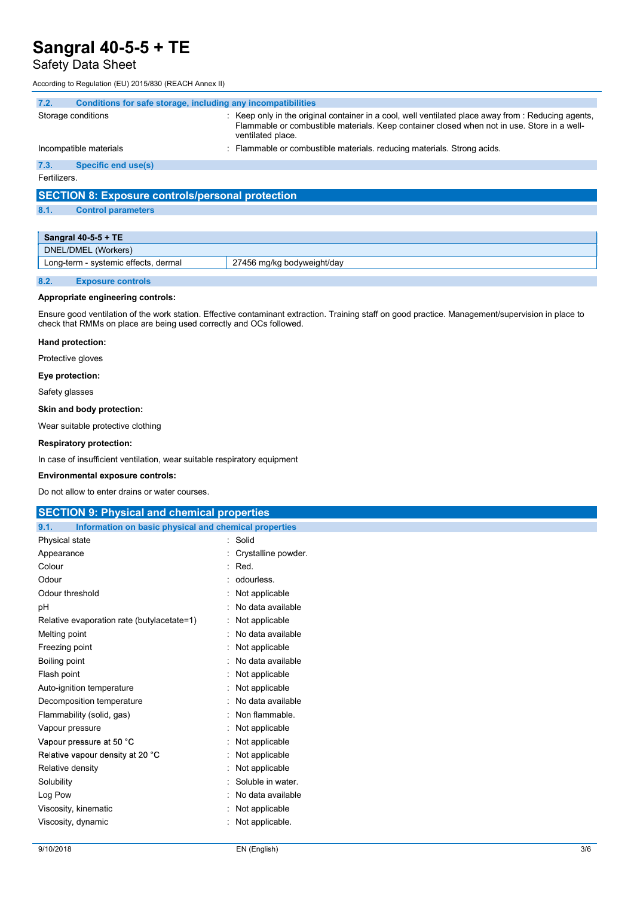## Safety Data Sheet

|              | Sangral 40-5-5 + TE                                          |                                                                                                                                                                                                                         |
|--------------|--------------------------------------------------------------|-------------------------------------------------------------------------------------------------------------------------------------------------------------------------------------------------------------------------|
|              | Safety Data Sheet                                            |                                                                                                                                                                                                                         |
|              |                                                              |                                                                                                                                                                                                                         |
|              | According to Regulation (EU) 2015/830 (REACH Annex II)       |                                                                                                                                                                                                                         |
| 7.2.         | Conditions for safe storage, including any incompatibilities |                                                                                                                                                                                                                         |
|              | Storage conditions                                           | : Keep only in the original container in a cool, well ventilated place away from : Reducing agents,<br>Flammable or combustible materials. Keep container closed when not in use. Store in a well-<br>ventilated place. |
|              | Incompatible materials                                       | : Flammable or combustible materials, reducing materials. Strong acids.                                                                                                                                                 |
| 7.3.         | <b>Specific end use(s)</b>                                   |                                                                                                                                                                                                                         |
| Fertilizers. |                                                              |                                                                                                                                                                                                                         |
|              | <b>SECTION 8: Exposure controls/personal protection</b>      |                                                                                                                                                                                                                         |
|              |                                                              |                                                                                                                                                                                                                         |

8.1. Control parameters

|      | Sangral 40-5-5 + TE                  |                            |
|------|--------------------------------------|----------------------------|
|      | DNEL/DMEL (Workers)                  |                            |
|      | Long-term - systemic effects, dermal | 27456 mg/kg bodyweight/day |
|      |                                      |                            |
| 8.2. | <b>Exposure controls</b>             |                            |

## Appropriate engineering controls:

### Hand protection:

#### Eye protection:

#### Skin and body protection:

#### Respiratory protection:

#### Environmental exposure controls:

| Appropriate engineering controls:                                        |                                                                                                                                                    |     |
|--------------------------------------------------------------------------|----------------------------------------------------------------------------------------------------------------------------------------------------|-----|
| check that RMMs on place are being used correctly and OCs followed.      | Ensure good ventilation of the work station. Effective contaminant extraction. Training staff on good practice. Management/supervision in place to |     |
| Hand protection:                                                         |                                                                                                                                                    |     |
| Protective gloves                                                        |                                                                                                                                                    |     |
| Eye protection:                                                          |                                                                                                                                                    |     |
| Safety glasses                                                           |                                                                                                                                                    |     |
| Skin and body protection:                                                |                                                                                                                                                    |     |
| Wear suitable protective clothing                                        |                                                                                                                                                    |     |
| <b>Respiratory protection:</b>                                           |                                                                                                                                                    |     |
|                                                                          |                                                                                                                                                    |     |
| In case of insufficient ventilation, wear suitable respiratory equipment |                                                                                                                                                    |     |
| <b>Environmental exposure controls:</b>                                  |                                                                                                                                                    |     |
| Do not allow to enter drains or water courses.                           |                                                                                                                                                    |     |
| <b>SECTION 9: Physical and chemical properties</b>                       |                                                                                                                                                    |     |
| Information on basic physical and chemical properties<br>9.1.            |                                                                                                                                                    |     |
| Physical state                                                           | : Solid                                                                                                                                            |     |
| Appearance                                                               | Crystalline powder.                                                                                                                                |     |
| Colour                                                                   | Red.<br>$\bullet$                                                                                                                                  |     |
| Odour                                                                    | odourless.                                                                                                                                         |     |
| Odour threshold                                                          | Not applicable                                                                                                                                     |     |
| pH                                                                       | No data available                                                                                                                                  |     |
| Relative evaporation rate (butylacetate=1)                               | Not applicable                                                                                                                                     |     |
| Melting point                                                            | No data available                                                                                                                                  |     |
| Freezing point                                                           | Not applicable                                                                                                                                     |     |
| <b>Boiling point</b>                                                     | No data available                                                                                                                                  |     |
| Flash point                                                              | Not applicable                                                                                                                                     |     |
| Auto-ignition temperature                                                | Not applicable                                                                                                                                     |     |
| Decomposition temperature                                                | No data available                                                                                                                                  |     |
| Flammability (solid, gas)                                                | Non flammable.                                                                                                                                     |     |
| Vapour pressure                                                          | Not applicable                                                                                                                                     |     |
| Vapour pressure at 50 °C                                                 | Not applicable                                                                                                                                     |     |
| Relative vapour density at 20 °C                                         | Not applicable                                                                                                                                     |     |
| Relative density                                                         | Not applicable                                                                                                                                     |     |
| Solubility                                                               | Soluble in water.                                                                                                                                  |     |
| Log Pow                                                                  | No data available                                                                                                                                  |     |
| Viscosity, kinematic                                                     | Not applicable                                                                                                                                     |     |
| Viscosity, dynamic                                                       | Not applicable.                                                                                                                                    |     |
|                                                                          |                                                                                                                                                    |     |
| 9/10/2018                                                                | EN (English)                                                                                                                                       | 3/6 |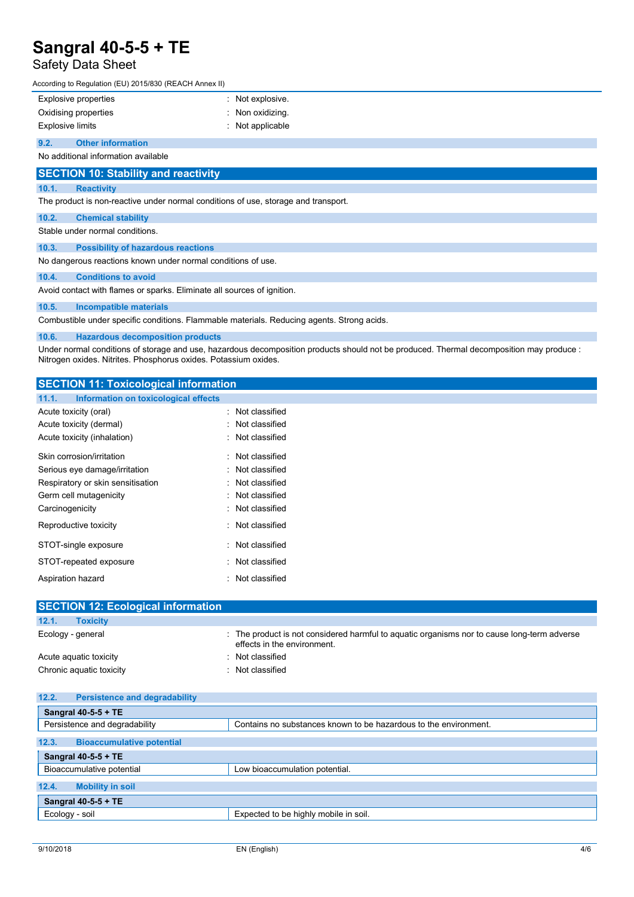## Safety Data Sheet

|       | Sangral 40-5-5 + TE                                    |                  |  |  |  |
|-------|--------------------------------------------------------|------------------|--|--|--|
|       | Safety Data Sheet                                      |                  |  |  |  |
|       | According to Regulation (EU) 2015/830 (REACH Annex II) |                  |  |  |  |
|       | Explosive properties                                   | Not explosive.   |  |  |  |
|       | Oxidising properties                                   | Non oxidizing.   |  |  |  |
|       | <b>Explosive limits</b>                                | : Not applicable |  |  |  |
| 9.2.  | <b>Other information</b>                               |                  |  |  |  |
|       | No additional information available                    |                  |  |  |  |
|       | <b>SECTION 10: Stability and reactivity</b>            |                  |  |  |  |
| 10.1. | <b>Reactivity</b>                                      |                  |  |  |  |
|       |                                                        |                  |  |  |  |

The product is non-reactive under normal conditions of use, storage and transport.

### 10.2. Chemical stability

Stable under normal conditions.

10.3. Possibility of hazardous reactions

No dangerous reactions known under normal conditions of use.

### 10.4. Conditions to avoid

Avoid contact with flames or sparks. Eliminate all sources of ignition.

10.5. Incompatible materials

Combustible under specific conditions. Flammable materials. Reducing agents. Strong acids.

10.6. Hazardous decomposition products

Under normal conditions of storage and use, hazardous decomposition products should not be produced. Thermal decomposition may produce : Nitrogen oxides. Nitrites. Phosphorus oxides. Potassium oxides.

| Nitrogen oxides. Nitrites. Phosphorus oxides. Potassium oxides.       |                                                                                                                            |
|-----------------------------------------------------------------------|----------------------------------------------------------------------------------------------------------------------------|
| <b>SECTION 11: Toxicological information</b>                          |                                                                                                                            |
| 11.1.<br>Information on toxicological effects                         |                                                                                                                            |
| Acute toxicity (oral)                                                 | : Not classified                                                                                                           |
| Acute toxicity (dermal)                                               | : Not classified                                                                                                           |
| Acute toxicity (inhalation)                                           | : Not classified                                                                                                           |
| Skin corrosion/irritation                                             | : Not classified                                                                                                           |
| Serious eye damage/irritation                                         | : Not classified                                                                                                           |
| Respiratory or skin sensitisation                                     | : Not classified                                                                                                           |
| Germ cell mutagenicity                                                | Not classified                                                                                                             |
| Carcinogenicity                                                       | : Not classified                                                                                                           |
| Reproductive toxicity                                                 | : Not classified                                                                                                           |
| STOT-single exposure                                                  | : Not classified                                                                                                           |
| STOT-repeated exposure                                                | : Not classified                                                                                                           |
| Aspiration hazard                                                     | : Not classified                                                                                                           |
|                                                                       |                                                                                                                            |
| <b>SECTION 12: Ecological information</b><br><b>Toxicity</b><br>12.1. |                                                                                                                            |
|                                                                       |                                                                                                                            |
| Ecology - general                                                     | : The product is not considered harmful to aquatic organisms nor to cause long-term adverse<br>effects in the environment. |
| Acute aquatic toxicity                                                | : Not classified                                                                                                           |
| Chronic aquatic toxicity                                              | : Not classified                                                                                                           |
|                                                                       |                                                                                                                            |
| <b>Persistence and degradability</b><br>12.2.                         |                                                                                                                            |
| Sangral 40-5-5 + TE                                                   |                                                                                                                            |
| Persistence and degradability                                         | Contains no substances known to be hazardous to the environment.                                                           |
| 12.3.<br><b>Bioaccumulative potential</b>                             |                                                                                                                            |
| Sangral 40-5-5 + TE                                                   |                                                                                                                            |
| Bioaccumulative potential                                             | Low bioaccumulation potential.                                                                                             |
| 12.4.<br><b>Mobility in soil</b>                                      |                                                                                                                            |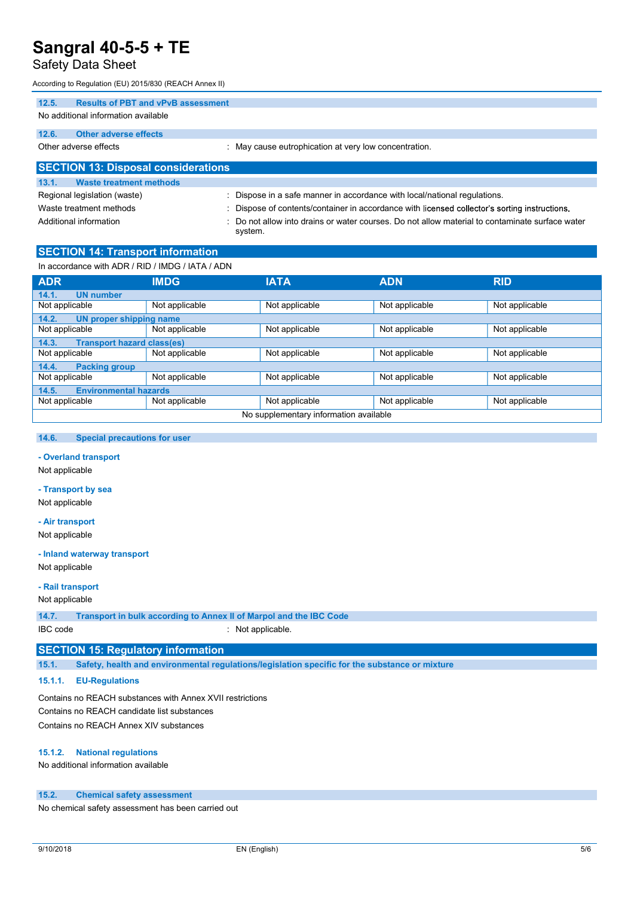## Safety Data Sheet

| <b>Sangral 40-5-5 + TE</b>                                                            |                                                                         |
|---------------------------------------------------------------------------------------|-------------------------------------------------------------------------|
|                                                                                       |                                                                         |
| <b>Safety Data Sheet</b>                                                              |                                                                         |
| According to Regulation (EU) 2015/830 (REACH Annex II)                                |                                                                         |
| <b>Results of PBT and vPvB assessment</b><br>12.5.                                    |                                                                         |
| No additional information available                                                   |                                                                         |
| 12.6.<br><b>Other adverse effects</b>                                                 |                                                                         |
| Other adverse effects                                                                 | : May cause eutrophication at very low concentration.                   |
|                                                                                       |                                                                         |
| <b>SECTION 13: Disposal considerations</b><br>13.1.<br><b>Waste treatment methods</b> |                                                                         |
| Regional legislation (waste)                                                          | Dispose in a safe manner in accordance with local/national regulations. |

Additional information **into the state of the Contaminate Surface water** : Do not allow into drains or water courses. Do not allow material to contaminate surface water system.

## SECTION 14: Transport information

In accordance with ADR / RID / IMDG / IATA / ADN

| <b>ADR</b>                                 | <b>IMDG</b>    | <b>IATA</b>                            | <b>ADN</b>     | <b>RID</b>     |  |
|--------------------------------------------|----------------|----------------------------------------|----------------|----------------|--|
| <b>UN</b> number<br>14.1.                  |                |                                        |                |                |  |
| Not applicable                             | Not applicable | Not applicable                         | Not applicable | Not applicable |  |
| 14.2.<br>UN proper shipping name           |                |                                        |                |                |  |
| Not applicable                             | Not applicable | Not applicable                         | Not applicable | Not applicable |  |
| <b>Transport hazard class(es)</b><br>14.3. |                |                                        |                |                |  |
| Not applicable                             | Not applicable | Not applicable                         | Not applicable | Not applicable |  |
| <b>Packing group</b><br>14.4.              |                |                                        |                |                |  |
| Not applicable                             | Not applicable | Not applicable                         | Not applicable | Not applicable |  |
| <b>Environmental hazards</b><br>14.5.      |                |                                        |                |                |  |
| Not applicable                             | Not applicable | Not applicable                         | Not applicable | Not applicable |  |
|                                            |                | No supplementary information available |                |                |  |

## 14.6. Special precautions for user

# - <mark>Overland transport</mark><br>Not applicable

### - Transport by sea

Not applicable

## - Air transport

Not applicable

### - Inland waterway transport

Not applicable

#### - Rail transport

Not applicable

14.7. Transport in bulk according to Annex II of Marpol and the IBC Code

IBC code : Not applicable.

## SECTION 15: Regulatory information

15.1. Safety, health and environmental regulations/legislation specific for the substance or mixture

## 15.1.1. EU-Regulations

Contains no REACH substances with Annex XVII restrictions Contains no REACH candidate list substances Contains no REACH Annex XIV substances

### 15.1.2. National regulations

No additional information available

#### 15.2. Chemical safety assessment

No chemical safety assessment has been carried out